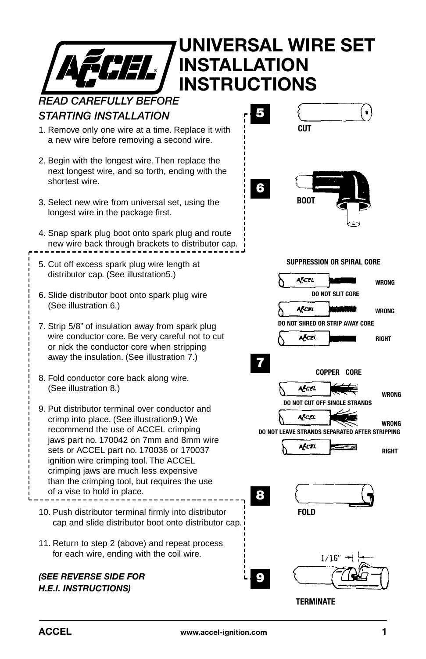